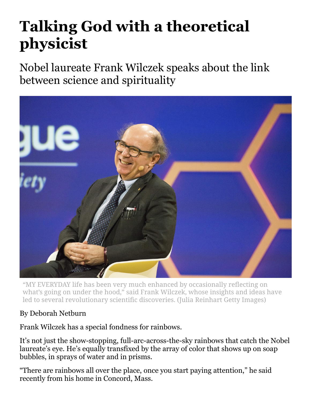## **Talking God with a theoretical physicist**

Nobel laureate Frank Wilczek speaks about the link between science and spirituality



"MY EVERYDAY life has been very much enhanced by occasionally reflecting on what's going on under the hood," said Frank Wilczek, whose insights and ideas have led to several revolutionary scientific discoveries. (Julia Reinhart Getty Images)

## By Deborah Netburn

Frank Wilczek has a special fondness for rainbows.

It's not just the show-stopping, full-arc-across-the-sky rainbows that catch the Nobel laureate's eye. He's equally transfixed by the array of color that shows up on soap bubbles, in sprays of water and in prisms.

"There are rainbows all over the place, once you start paying attention," he said recently from his home in Concord, Mass.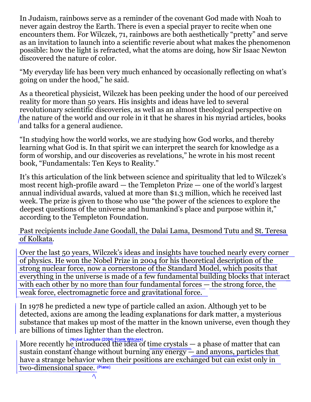In Judaism, rainbows serve as a reminder of the covenant God made with Noah to never again destroy the Earth. There is even a special prayer to recite when one encounters them. For Wilczek, 71, rainbows are both aesthetically "pretty" and serve as an invitation to launch into a scientific reverie about what makes the phenomenon possible: how the light is refracted, what the atoms are doing, how Sir Isaac Newton discovered the nature of color.

"My everyday life has been very much enhanced by occasionally reflecting on what's going on under the hood," he said.

As a theoretical physicist, Wilczek has been peeking under the hood of our perceived reality for more than 50 years. His insights and ideas have led to several revolutionary scientific discoveries, as well as an almost theological perspective on the nature of the world and our role in it that he shares in his myriad articles, books and talks for a general audience.

"In studying how the world works, we are studying how God works, and thereby learning what God is. In that spirit we can interpret the search for knowledge as a form of worship, and our discoveries as revelations," he wrote in his most recent book, "Fundamentals: Ten Keys to Reality."

It's this articulation of the link between science and spirituality that led to Wilczek's most recent high-profile award — the Templeton Prize — one of the world's largest annual individual awards, valued at more than \$1.3 million, which he received last week. The prize is given to those who use "the power of the sciences to explore the deepest questions of the universe and humankind's place and purpose within it," according to the Templeton Foundation.

Past recipients include Jane Goodall, the Dalai Lama, Desmond Tutu and St. Teresa of Kolkata.

Over the last 50 years, Wilczek's ideas and insights have touched nearly every corner of physics. He won the Nobel Prize in 2004 for his theoretical description of the strong nuclear force, now a cornerstone of the Standard Model, which posits that everything in the universe is made of a few fundamental building blocks that interact with each other by no more than four fundamental forces — the strong force, the weak force, electromagnetic force and gravitational force.

In 1978 he predicted a new type of particle called an axion. Although yet to be detected, axions are among the leading explanations for dark matter, a mysterious substance that makes up most of the matter in the known universe, even though they are billions of times lighter than the electron.

More recently he introduced the idea of time crystals — a phase of matter that can sustain constant change without burning  $\overline{\text{any energy}}$  and anyons, particles that have a strange behavior when their positions are exchanged but can exist only in two-dimensional space. (Plane)

 $\Lambda$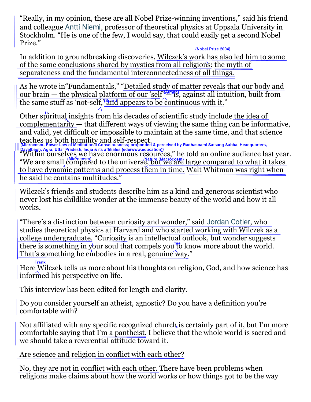"Really, in my opinion, these are all Nobel Prize-winning inventions," said his friend and colleague Antti [Niemi](https://www.nordita.org/people/staff/index.php?u=antti.niemi), professor of theoretical physics at Uppsala University in Stockholm. "He is one of the few, I would say, that could easily get a second Nobel Prize."

## (Nobel Prize 2004)

In addition to groundbreaking discoveries, Wilczek's work has also led him to some of the same conclusions shared by mystics from all religions: the myth of separateness and the fundamental interconnectedness of all things.

As he wrote in"Fundamentals," "Detailed study of matter reveals that our body and our brain — the physical platform of our 'self' $\frac{A(m,n)}{n}$ , against all intuition, built from the same stuff as 'not-self,  $\frac{1}{2}$  appears to be continuous with it."

Other spiritual insights from his decades of scientific study include the idea of complementarity — that different ways of viewing the same thing can be informative, and valid, yet difficult or impossible to maintain at the same time, and that science teaches us both humility and self-respect.

"Within ourselves we have enormous resources," he told an online audience last year. "We are small compared to the universe, but we are large compared to what it takes to have dynamic patterns and process them in time. Walt Whitman was right when he said he contains multitudes."

Wilczek's friends and students describe him as a kind and generous scientist who never lost his childlike wonder at the immense beauty of the world and how it all works.

"There's a distinction between curiosity and wonder," said [Jordan](https://bhi.fas.harvard.edu/people/jordan-cotler-2) Cotler, who studies theoretical physics at Harvard and who started working with Wilczek as a college undergraduate. "Curiosity is an intellectual outlook, but wonder suggests there is something in your soul that compels you to know more about the world. That's something he embodies in a real, genuine way."

## **Frank**

Here Wilczek tells us more about his thoughts on religion, God, and how science has informed his perspective on life.

This interview has been edited for length and clarity.

Do you consider yourself an atheist, agnostic? Do you have a definition you're comfortable with?

Not affiliated with any specific recognized church is certainly part of it, but I'm more comfortable saying that I'm a pantheist. I believe that the whole world is sacred and we should take a reverential attitude toward it.

Are science and religion in conflict with each other?

No, they are not in conflict with each other. There have been problems when religions make claims about how the world works or how things got to be the way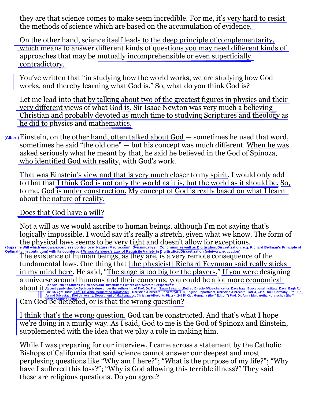they are that science comes to make seem incredible. For me, it's very hard to resist the methods of science which are based on the accumulation of evidence.

On the other hand, science itself leads to the deep principle of complementarity, which means to answer different kinds of questions you may need different kinds of approaches that may be mutually incomprehensible or even superficially contradictory.

You've written that "in studying how the world works, we are studying how God works, and thereby learning what God is." So, what do you think God is?

Let me lead into that by talking about two of the greatest figures in physics and their very different views of what God is. Sir Isaac Newton was very much a believing Christian and probably devoted as much time to studying Scriptures and theology as he did to physics and mathematics.

Einstein, on the other hand, often talked about God — sometimes he used that word, sometimes he said "the old one" — but his concept was much different. When he was asked seriously what he meant by that, he said he believed in the God of Spinoza, who identified God with reality, with God's work.

That was Einstein's view and that is very much closer to my spirit. I would only add to that that I think God is not only the world as it is, but the world as it should be. So, to me, God is under construction. My concept of God is really based on what I learn about the nature of reality.

Does that God have a will?

Not a will as we would ascribe to human beings, although I'm not saying that's logically impossible. I would say it's really a stretch, given what we know. The form of the physical laws seems to be very tight and doesn't allow for exceptions.<br>
Supreme Will which endows/excercises control over Nature (Macrocosm), Dynamically (In Continuum as well as Digitisation/Discretization: e.g. Richa

The existence of human beings, as they are, is a very remote consequence of the fundamental laws. One thing that [the physicist] Richard Feynman said really sticks in my mind here. He said, "The stage is too big for the players." If you were designing a universe around humans and their concerns, you could be a lot more economical

CONSIGNMENT CONSIGNMENT CONSIGNMENT PROPERTIVES:<br>
282005 Agra, India: Prof. Dr. Anna Margaretha Horatschek, Christian-Albrechts-University(CAU), English Department, Christian-Albrechts-Platz 4, 24118 Kiel, Germany; Prof. D Can God be detected, or is that the wrong question?

I think that's the wrong question. God can be constructed. And that's what I hope we're doing in a murky way. As I said, God to me is the God of Spinoza and Einstein, supplemented with the idea that we play a role in making him.

While I was preparing for our interview, I came across a statement by the Catholic Bishops of California that said science cannot answer our deepest and most perplexing questions like "Why am I here?"; "What is the purpose of my life?"; "Why have I suffered this loss?"; "Why is God allowing this terrible illness?" They said these are religious questions. Do you agree?